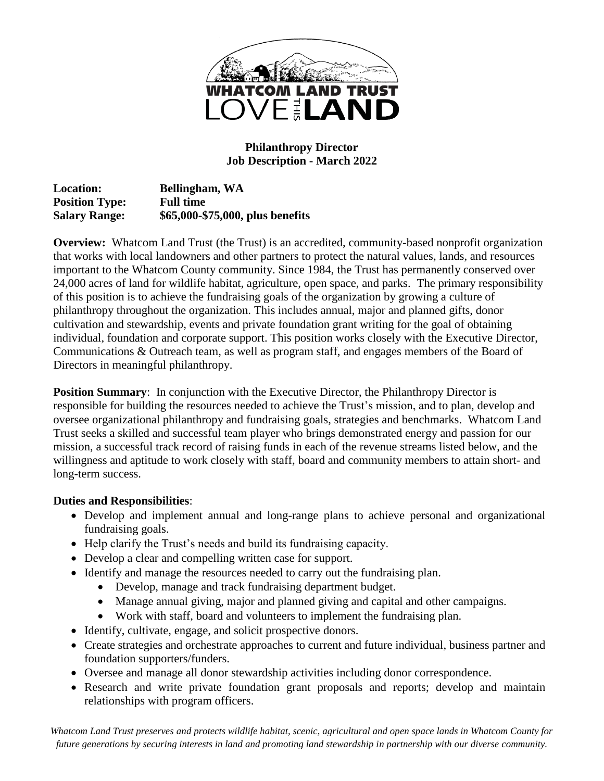

#### **Philanthropy Director Job Description - March 2022**

**Location: Bellingham, WA Position Type: Full time Salary Range: \$65,000-\$75,000, plus benefits**

**Overview:** Whatcom Land Trust (the Trust) is an accredited, community-based nonprofit organization that works with local landowners and other partners to protect the natural values, lands, and resources important to the Whatcom County community. Since 1984, the Trust has permanently conserved over 24,000 acres of land for wildlife habitat, agriculture, open space, and parks. The primary responsibility of this position is to achieve the fundraising goals of the organization by growing a culture of philanthropy throughout the organization. This includes annual, major and planned gifts, donor cultivation and stewardship, events and private foundation grant writing for the goal of obtaining individual, foundation and corporate support. This position works closely with the Executive Director, Communications & Outreach team, as well as program staff, and engages members of the Board of Directors in meaningful philanthropy.

**Position Summary:** In conjunction with the Executive Director, the Philanthropy Director is responsible for building the resources needed to achieve the Trust's mission, and to plan, develop and oversee organizational philanthropy and fundraising goals, strategies and benchmarks. Whatcom Land Trust seeks a skilled and successful team player who brings demonstrated energy and passion for our mission, a successful track record of raising funds in each of the revenue streams listed below, and the willingness and aptitude to work closely with staff, board and community members to attain short- and long-term success.

#### **Duties and Responsibilities**:

- Develop and implement annual and long-range plans to achieve personal and organizational fundraising goals.
- Help clarify the Trust's needs and build its fundraising capacity.
- Develop a clear and compelling written case for support.
- Identify and manage the resources needed to carry out the fundraising plan.
	- Develop, manage and track fundraising department budget.
	- Manage annual giving, major and planned giving and capital and other campaigns.
	- Work with staff, board and volunteers to implement the fundraising plan.
- Identify, cultivate, engage, and solicit prospective donors.
- Create strategies and orchestrate approaches to current and future individual, business partner and foundation supporters/funders.
- Oversee and manage all donor stewardship activities including donor correspondence.
- Research and write private foundation grant proposals and reports; develop and maintain relationships with program officers.

*Whatcom Land Trust preserves and protects wildlife habitat, scenic, agricultural and open space lands in Whatcom County for future generations by securing interests in land and promoting land stewardship in partnership with our diverse community.*